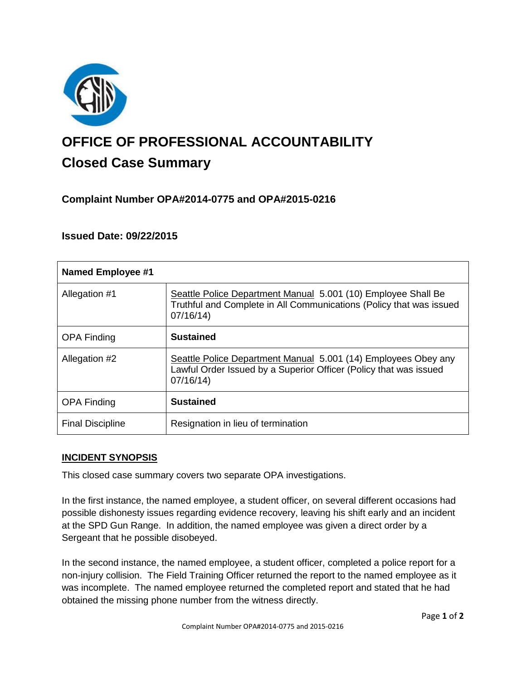

# **OFFICE OF PROFESSIONAL ACCOUNTABILITY Closed Case Summary**

# **Complaint Number OPA#2014-0775 and OPA#2015-0216**

# **Issued Date: 09/22/2015**

| <b>Named Employee #1</b> |                                                                                                                                                  |
|--------------------------|--------------------------------------------------------------------------------------------------------------------------------------------------|
| Allegation #1            | Seattle Police Department Manual 5.001 (10) Employee Shall Be<br>Truthful and Complete in All Communications (Policy that was issued<br>07/16/14 |
| <b>OPA Finding</b>       | <b>Sustained</b>                                                                                                                                 |
| Allegation #2            | Seattle Police Department Manual 5.001 (14) Employees Obey any<br>Lawful Order Issued by a Superior Officer (Policy that was issued<br>07/16/14  |
| <b>OPA Finding</b>       | <b>Sustained</b>                                                                                                                                 |
| <b>Final Discipline</b>  | Resignation in lieu of termination                                                                                                               |

## **INCIDENT SYNOPSIS**

This closed case summary covers two separate OPA investigations.

In the first instance, the named employee, a student officer, on several different occasions had possible dishonesty issues regarding evidence recovery, leaving his shift early and an incident at the SPD Gun Range. In addition, the named employee was given a direct order by a Sergeant that he possible disobeyed.

In the second instance, the named employee, a student officer, completed a police report for a non-injury collision. The Field Training Officer returned the report to the named employee as it was incomplete. The named employee returned the completed report and stated that he had obtained the missing phone number from the witness directly.